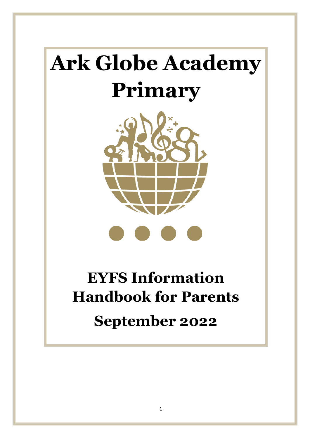# **Ark Globe Academy Primary**



# **EYFS Information Handbook for Parents September 2022**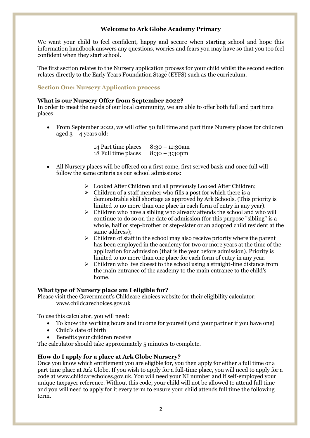# **Welcome to Ark Globe Academy Primary**

We want your child to feel confident, happy and secure when starting school and hope this information handbook answers any questions, worries and fears you may have so that you too feel confident when they start school.

The first section relates to the Nursery application process for your child whilst the second section relates directly to the Early Years Foundation Stage (EYFS) such as the curriculum.

# **Section One: Nursery Application process**

#### **What is our Nursery Offer from September 2022?**

In order to meet the needs of our local community, we are able to offer both full and part time places:

• From September 2022, we will offer 50 full time and part time Nursery places for children aged  $3 - 4$  years old:

| 14 Part time places | $8:30 - 11:30$ am |
|---------------------|-------------------|
| 18 Full time places | $8:30 - 3:30$ pm  |

- All Nursery places will be offered on a first come, first served basis and once full will follow the same criteria as our school admissions:
	- ➢ Looked After Children and all previously Looked After Children;
	- $\triangleright$  Children of a staff member who fills a post for which there is a demonstrable skill shortage as approved by Ark Schools. (This priority is limited to no more than one place in each form of entry in any year).
	- ➢ Children who have a sibling who already attends the school and who will continue to do so on the date of admission (for this purpose "sibling" is a whole, half or step-brother or step-sister or an adopted child resident at the same address);
	- $\triangleright$  Children of staff in the school may also receive priority where the parent has been employed in the academy for two or more years at the time of the application for admission (that is the year before admission). Priority is limited to no more than one place for each form of entry in any year.
	- $\triangleright$  Children who live closest to the school using a straight-line distance from the main entrance of the academy to the main entrance to the child's home.

# **What type of Nursery place am I eligible for?**

Please visit thee Government's Childcare choices website for their eligibility calculator: [www.childcarechoices.gov.uk](http://www.childcarechoices.gov.uk/)

To use this calculator, you will need:

- To know the working hours and income for yourself (and your partner if you have one)
- Child's date of birth
- Benefits your children receive

The calculator should take approximately 5 minutes to complete.

# **How do I apply for a place at Ark Globe Nursery?**

Once you know which entitlement you are eligible for, you then apply for either a full time or a part time place at Ark Globe. If you wish to apply for a full-time place, you will need to apply for a code at [www.childcarechoices.gov.uk.](http://www.childcarechoices.gov.uk/) You will need your NI number and if self-employed your unique taxpayer reference. Without this code, your child will not be allowed to attend full time and you will need to apply for it every term to ensure your child attends full time the following term.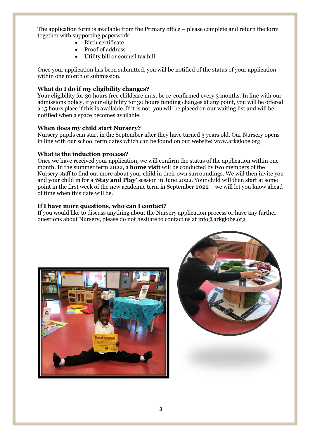The application form is available from the Primary office – please complete and return the form together with supporting paperwork:

- Birth certificate
- Proof of address
- Utility bill or council tax bill

Once your application has been submitted, you will be notified of the status of your application within one month of submission.

## **What do I do if my eligibility changes?**

Your eligibility for 30 hours free childcare must be re-confirmed every 3 months. In line with our admissions policy, if your eligibility for 30 hours funding changes at any point, you will be offered a 15 hours place if this is available. If it is not, you will be placed on our waiting list and will be notified when a space becomes available.

#### **When does my child start Nursery?**

Nursery pupils can start in the September after they have turned 3 years old. Our Nursery opens in line with our school term dates which can be found on our website: [www.arkglobe.org](http://www.arkglobe.org/)

#### **What is the induction process?**

Once we have received your application, we will confirm the status of the application within one month. In the summer term 2022, a **home visit** will be conducted by two members of the Nursery staff to find out more about your child in their own surroundings. We will then invite you and your child in for a **'Stay and Play'** session in June 2022. Your child will then start at some point in the first week of the new academic term in September 2022 – we will let you know ahead of time when this date will be.

#### **If I have more questions, who can I contact?**

If you would like to discuss anything about the Nursery application process or have any further questions about Nursery, please do not hesitate to contact us a[t info@arkglobe.org](mailto:info@arkglobe.org)



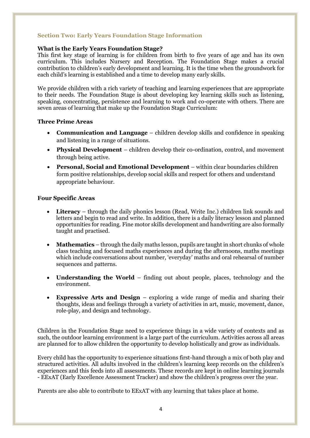# **Section Two: Early Years Foundation Stage Information**

## **What is the Early Years Foundation Stage?**

This first key stage of learning is for children from birth to five years of age and has its own curriculum. This includes Nursery and Reception. The Foundation Stage makes a crucial contribution to children's early development and learning. It is the time when the groundwork for each child's learning is established and a time to develop many early skills.

We provide children with a rich variety of teaching and learning experiences that are appropriate to their needs. The Foundation Stage is about developing key learning skills such as listening, speaking, concentrating, persistence and learning to work and co-operate with others. There are seven areas of learning that make up the Foundation Stage Curriculum:

# **Three Prime Areas**

- **Communication and Language** children develop skills and confidence in speaking and listening in a range of situations.
- **Physical Development**  children develop their co-ordination, control, and movement through being active.
- **Personal, Social and Emotional Development** within clear boundaries children form positive relationships, develop social skills and respect for others and understand appropriate behaviour.

#### **Four Specific Areas**

- **Literacy** through the daily phonics lesson (Read, Write Inc.) children link sounds and letters and begin to read and write. In addition, there is a daily literacy lesson and planned opportunities for reading. Fine motor skills development and handwriting are also formally taught and practised.
- **Mathematics** through the daily maths lesson, pupils are taught in short chunks of whole class teaching and focused maths experiences and during the afternoons, maths meetings which include conversations about number, 'everyday' maths and oral rehearsal of number sequences and patterns.
- **Understanding the World** finding out about people, places, technology and the environment.
- **Expressive Arts and Design** exploring a wide range of media and sharing their thoughts, ideas and feelings through a variety of activities in art, music, movement, dance, role-play, and design and technology.

Children in the Foundation Stage need to experience things in a wide variety of contexts and as such, the outdoor learning environment is a large part of the curriculum. Activities across all areas are planned for to allow children the opportunity to develop holistically and grow as individuals.

Every child has the opportunity to experience situations first-hand through a mix of both play and structured activities. All adults involved in the children's learning keep records on the children's experiences and this feeds into all assessments. These records are kept in online learning journals - EExAT (Early Excellence Assessment Tracker) and show the children's progress over the year.

Parents are also able to contribute to EExAT with any learning that takes place at home.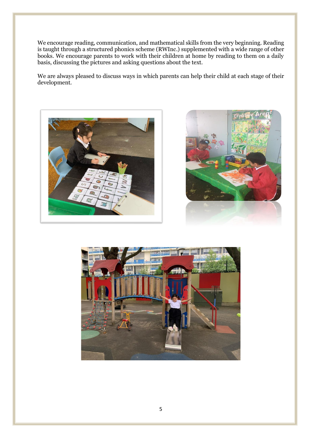We encourage reading, communication, and mathematical skills from the very beginning. Reading is taught through a structured phonics scheme (RWInc.) supplemented with a wide range of other books. We encourage parents to work with their children at home by reading to them on a daily basis, discussing the pictures and asking questions about the text.

We are always pleased to discuss ways in which parents can help their child at each stage of their development.





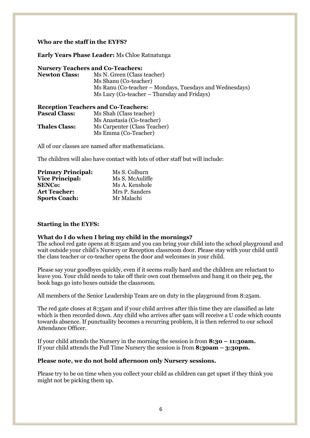#### **Who are the staff in the EYFS?**

#### **Early Years Phase Leader:** Ms Chloe Ratnatunga

#### **Nursery Teachers and Co-Teachers:**

**Newton Class:** Ms N. Green (Class teacher) Ms Shanu (Co-teacher) Ms Ranu (Co-teacher – Mondays, Tuesdays and Wednesdays) Ms Lucy (Co-teacher – Thursday and Fridays)

| <b>Reception Teachers and Co-Teachers:</b> |  |
|--------------------------------------------|--|
| Ms Shah (Class teacher)                    |  |
| Ms Anastasia (Co-teacher)                  |  |
| Ms Carpenter (Class Teacher)               |  |
| Ms Emma (Co-Teacher)                       |  |
|                                            |  |

All of our classes are named after mathematicians.

The children will also have contact with lots of other staff but will include:

| <b>Primary Principal:</b> | Ms S. Colburn   |
|---------------------------|-----------------|
| <b>Vice Principal:</b>    | Ms S. McAuliffe |
| <b>SENCo:</b>             | Ms A. Kenshole  |
| <b>Art Teacher:</b>       | Mrs P. Sanders  |
| <b>Sports Coach:</b>      | Mr Malachi      |

#### **Starting in the EYFS:**

#### **What do I do when I bring my child in the mornings?**

The school red gate opens at 8:25am and you can bring your child into the school playground and wait outside your child's Nursery or Reception classroom door. Please stay with your child until the class teacher or co-teacher opens the door and welcomes in your child.

Please say your goodbyes quickly, even if it seems really hard and the children are reluctant to leave you. Your child needs to take off their own coat themselves and hang it on their peg, the book bags go into boxes outside the classroom.

All members of the Senior Leadership Team are on duty in the playground from 8:25am.

The red gate closes at 8:35am and if your child arrives after this time they are classified as late which is then recorded down. Any child who arrives after 9am will receive a U code which counts towards absence. If punctuality becomes a recurring problem, it is then referred to our school Attendance Officer.

If your child attends the Nursery in the morning the session is from **8:30 – 11:30am.** If your child attends the Full Time Nursery the session is from **8:30am – 3:30pm.** 

#### **Please note, we do not hold afternoon only Nursery sessions.**

Please try to be on time when you collect your child as children can get upset if they think you might not be picking them up.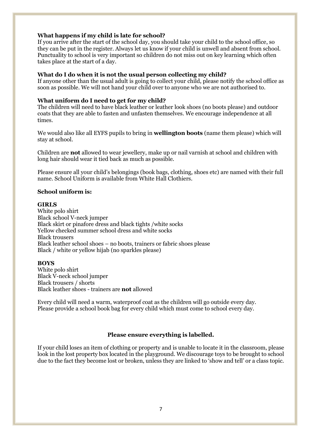## **What happens if my child is late for school?**

If you arrive after the start of the school day, you should take your child to the school office, so they can be put in the register. Always let us know if your child is unwell and absent from school. Punctuality to school is very important so children do not miss out on key learning which often takes place at the start of a day.

#### **What do I do when it is not the usual person collecting my child?**

If anyone other than the usual adult is going to collect your child, please notify the school office as soon as possible. We will not hand your child over to anyone who we are not authorised to.

## **What uniform do I need to get for my child?**

The children will need to have black leather or leather look shoes (no boots please) and outdoor coats that they are able to fasten and unfasten themselves. We encourage independence at all times.

We would also like all EYFS pupils to bring in **wellington boots** (name them please) which will stay at school.

Children are **not** allowed to wear jewellery, make up or nail varnish at school and children with long hair should wear it tied back as much as possible.

Please ensure all your child's belongings (book bags, clothing, shoes etc) are named with their full name. School Uniform is available from White Hall Clothiers.

# **School uniform is:**

#### **GIRLS**

White polo shirt Black school V-neck jumper Black skirt or pinafore dress and black tights /white socks Yellow checked summer school dress and white socks Black trousers Black leather school shoes – no boots, trainers or fabric shoes please Black / white or yellow hijab (no sparkles please)

#### **BOYS**

White polo shirt Black V-neck school jumper Black trousers / shorts Black leather shoes - trainers are **not** allowed

Every child will need a warm, waterproof coat as the children will go outside every day. Please provide a school book bag for every child which must come to school every day.

# **Please ensure everything is labelled.**

If your child loses an item of clothing or property and is unable to locate it in the classroom, please look in the lost property box located in the playground. We discourage toys to be brought to school due to the fact they become lost or broken, unless they are linked to 'show and tell' or a class topic.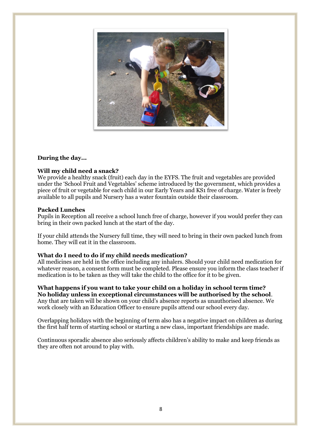

# **During the day...**

# **Will my child need a snack?**

We provide a healthy snack (fruit) each day in the EYFS. The fruit and vegetables are provided under the 'School Fruit and Vegetables' scheme introduced by the government, which provides a piece of fruit or vegetable for each child in our Early Years and KS1 free of charge. Water is freely available to all pupils and Nursery has a water fountain outside their classroom.

#### **Packed Lunches**

Pupils in Reception all receive a school lunch free of charge, however if you would prefer they can bring in their own packed lunch at the start of the day.

If your child attends the Nursery full time, they will need to bring in their own packed lunch from home. They will eat it in the classroom.

# **What do I need to do if my child needs medication?**

All medicines are held in the office including any inhalers. Should your child need medication for whatever reason, a consent form must be completed. Please ensure you inform the class teacher if medication is to be taken as they will take the child to the office for it to be given.

**What happens if you want to take your child on a holiday in school term time? No holiday unless in exceptional circumstances will be authorised by the school**. Any that are taken will be shown on your child's absence reports as unauthorised absence. We work closely with an Education Officer to ensure pupils attend our school every day.

Overlapping holidays with the beginning of term also has a negative impact on children as during the first half term of starting school or starting a new class, important friendships are made.

Continuous sporadic absence also seriously affects children's ability to make and keep friends as they are often not around to play with.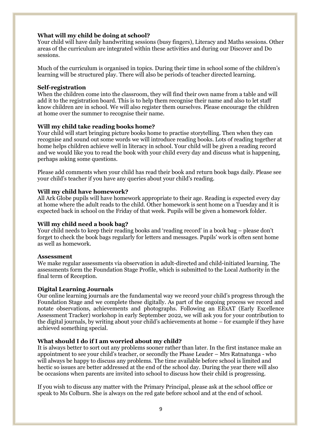### **What will my child be doing at school?**

Your child will have daily handwriting sessions (busy fingers), Literacy and Maths sessions. Other areas of the curriculum are integrated within these activities and during our Discover and Do sessions.

Much of the curriculum is organised in topics. During their time in school some of the children's learning will be structured play. There will also be periods of teacher directed learning.

#### **Self-registration**

When the children come into the classroom, they will find their own name from a table and will add it to the registration board. This is to help them recognise their name and also to let staff know children are in school. We will also register them ourselves. Please encourage the children at home over the summer to recognise their name.

#### **Will my child take reading books home?**

Your child will start bringing picture books home to practise storytelling. Then when they can recognise and sound out some words we will introduce reading books. Lots of reading together at home helps children achieve well in literacy in school. Your child will be given a reading record and we would like you to read the book with your child every day and discuss what is happening, perhaps asking some questions.

Please add comments when your child has read their book and return book bags daily. Please see your child's teacher if you have any queries about your child's reading.

#### **Will my child have homework?**

All Ark Globe pupils will have homework appropriate to their age. Reading is expected every day at home where the adult reads to the child. Other homework is sent home on a Tuesday and it is expected back in school on the Friday of that week. Pupils will be given a homework folder.

#### **Will my child need a book bag?**

Your child needs to keep their reading books and 'reading record' in a book bag – please don't forget to check the book bags regularly for letters and messages. Pupils' work is often sent home as well as homework.

#### **Assessment**

We make regular assessments via observation in adult-directed and child-initiated learning. The assessments form the Foundation Stage Profile, which is submitted to the Local Authority in the final term of Reception.

#### **Digital Learning Journals**

Our online learning journals are the fundamental way we record your child's progress through the Foundation Stage and we complete these digitally. As part of the ongoing process we record and notate observations, achievements and photographs. Following an EExAT (Early Excellence Assessment Tracker) workshop in early September 2022, we will ask you for your contribution to the digital journals, by writing about your child's achievements at home – for example if they have achieved something special.

#### **What should I do if I am worried about my child?**

It is always better to sort out any problems sooner rather than later. In the first instance make an appointment to see your child's teacher, or secondly the Phase Leader – Mrs Ratnatunga - who will always be happy to discuss any problems. The time available before school is limited and hectic so issues are better addressed at the end of the school day. During the year there will also be occasions when parents are invited into school to discuss how their child is progressing.

If you wish to discuss any matter with the Primary Principal, please ask at the school office or speak to Ms Colburn. She is always on the red gate before school and at the end of school.